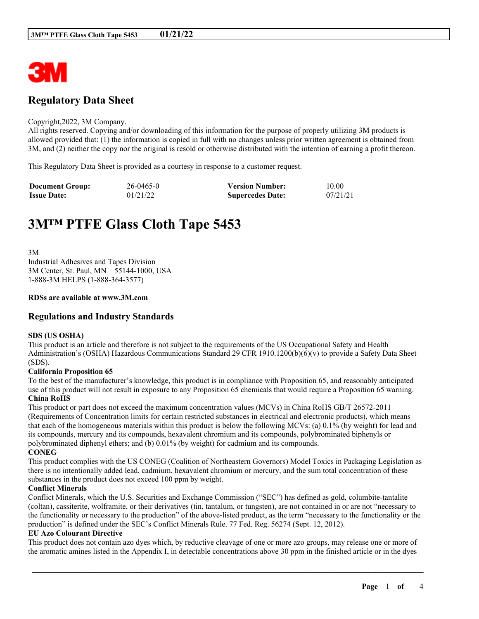

# **Regulatory Data Sheet**

#### Copyright,2022, 3M Company.

All rights reserved. Copying and/or downloading of this information for the purpose of properly utilizing 3M products is allowed provided that: (1) the information is copied in full with no changes unless prior written agreement is obtained from 3M, and (2) neither the copy nor the original is resold or otherwise distributed with the intention of earning a profit thereon.

This Regulatory Data Sheet is provided as a courtesy in response to a customer request.

| <b>Document Group:</b> | 26-0465-0 | <b>Version Number:</b>  | 10.00    |
|------------------------|-----------|-------------------------|----------|
| <b>Issue Date:</b>     | 01/21/22  | <b>Supercedes Date:</b> | 07/21/21 |

# **3M™ PTFE Glass Cloth Tape 5453**

3M Industrial Adhesives and Tapes Division 3M Center, St. Paul, MN 55144-1000, USA 1-888-3M HELPS (1-888-364-3577)

#### **RDSs are available at www.3M.com**

# **Regulations and Industry Standards**

#### **SDS (US OSHA)**

This product is an article and therefore is not subject to the requirements of the US Occupational Safety and Health Administration's (OSHA) Hazardous Communications Standard 29 CFR 1910.1200(b)(6)(v) to provide a Safety Data Sheet (SDS).

#### **California Proposition 65**

To the best of the manufacturer's knowledge, this product is in compliance with Proposition 65, and reasonably anticipated use of this product will not result in exposure to any Proposition 65 chemicals that would require a Proposition 65 warning. **China RoHS**

This product or part does not exceed the maximum concentration values (MCVs) in China RoHS GB/T 26572-2011 (Requirements of Concentration limits for certain restricted substances in electrical and electronic products), which means that each of the homogeneous materials within this product is below the following MCVs: (a) 0.1% (by weight) for lead and its compounds, mercury and its compounds, hexavalent chromium and its compounds, polybrominated biphenyls or polybrominated diphenyl ethers; and (b) 0.01% (by weight) for cadmium and its compounds. **CONEG**

This product complies with the US CONEG (Coalition of Northeastern Governors) Model Toxics in Packaging Legislation as there is no intentionally added lead, cadmium, hexavalent chromium or mercury, and the sum total concentration of these substances in the product does not exceed 100 ppm by weight.

# **Conflict Minerals**

Conflict Minerals, which the U.S. Securities and Exchange Commission ("SEC") has defined as gold, columbite-tantalite (coltan), cassiterite, wolframite, or their derivatives (tin, tantalum, or tungsten), are not contained in or are not "necessary to the functionality or necessary to the production" of the above-listed product, as the term "necessary to the functionality or the production" is defined under the SEC's Conflict Minerals Rule. 77 Fed. Reg. 56274 (Sept. 12, 2012).

#### **EU Azo Colourant Directive**

This product does not contain azo dyes which, by reductive cleavage of one or more azo groups, may release one or more of the aromatic amines listed in the Appendix I, in detectable concentrations above 30 ppm in the finished article or in the dyes

\_\_\_\_\_\_\_\_\_\_\_\_\_\_\_\_\_\_\_\_\_\_\_\_\_\_\_\_\_\_\_\_\_\_\_\_\_\_\_\_\_\_\_\_\_\_\_\_\_\_\_\_\_\_\_\_\_\_\_\_\_\_\_\_\_\_\_\_\_\_\_\_\_\_\_\_\_\_\_\_\_\_\_\_\_\_\_\_\_\_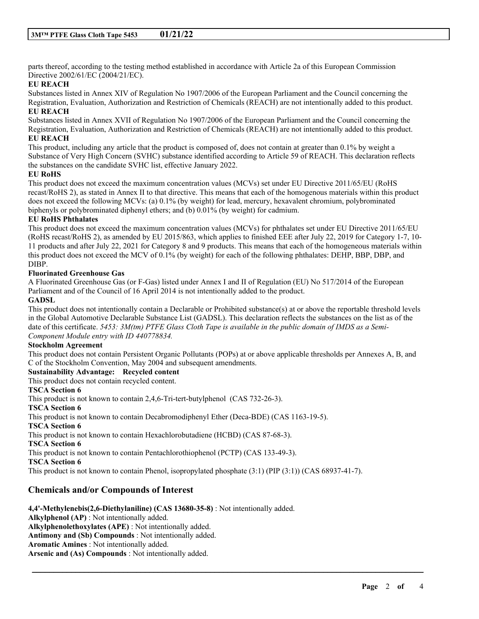parts thereof, according to the testing method established in accordance with Article 2a of this European Commission Directive 2002/61/EC (2004/21/EC).

# **EU REACH**

Substances listed in Annex XIV of Regulation No 1907/2006 of the European Parliament and the Council concerning the Registration, Evaluation, Authorization and Restriction of Chemicals (REACH) are not intentionally added to this product. **EU REACH**

Substances listed in Annex XVII of Regulation No 1907/2006 of the European Parliament and the Council concerning the Registration, Evaluation, Authorization and Restriction of Chemicals (REACH) are not intentionally added to this product. **EU REACH**

This product, including any article that the product is composed of, does not contain at greater than 0.1% by weight a Substance of Very High Concern (SVHC) substance identified according to Article 59 of REACH. This declaration reflects the substances on the candidate SVHC list, effective January 2022.

# **EU RoHS**

This product does not exceed the maximum concentration values (MCVs) set under EU Directive 2011/65/EU (RoHS recast/RoHS 2), as stated in Annex II to that directive. This means that each of the homogenous materials within this product does not exceed the following MCVs: (a) 0.1% (by weight) for lead, mercury, hexavalent chromium, polybrominated biphenyls or polybrominated diphenyl ethers; and (b) 0.01% (by weight) for cadmium.

# **EU RoHS Phthalates**

This product does not exceed the maximum concentration values (MCVs) for phthalates set under EU Directive 2011/65/EU (RoHS recast/RoHS 2), as amended by EU 2015/863, which applies to finished EEE after July 22, 2019 for Category 1-7, 10- 11 products and after July 22, 2021 for Category 8 and 9 products. This means that each of the homogeneous materials within this product does not exceed the MCV of 0.1% (by weight) for each of the following phthalates: DEHP, BBP, DBP, and DIBP.

# **Fluorinated Greenhouse Gas**

A Fluorinated Greenhouse Gas (or F-Gas) listed under Annex I and II of Regulation (EU) No 517/2014 of the European Parliament and of the Council of 16 April 2014 is not intentionally added to the product.

# **GADSL**

This product does not intentionally contain a Declarable or Prohibited substance(s) at or above the reportable threshold levels in the Global Automotive Declarable Substance List (GADSL). This declaration reflects the substances on the list as of the date of this certificate. 5453:  $3M$ (tm) PTFE Glass Cloth Tape is available in the public domain of IMDS as a Semi-*Component Module entry with ID 440778834.*

# **Stockholm Agreement**

This product does not contain Persistent Organic Pollutants (POPs) at or above applicable thresholds per Annexes A, B, and C of the Stockholm Convention, May 2004 and subsequent amendments.

\_\_\_\_\_\_\_\_\_\_\_\_\_\_\_\_\_\_\_\_\_\_\_\_\_\_\_\_\_\_\_\_\_\_\_\_\_\_\_\_\_\_\_\_\_\_\_\_\_\_\_\_\_\_\_\_\_\_\_\_\_\_\_\_\_\_\_\_\_\_\_\_\_\_\_\_\_\_\_\_\_\_\_\_\_\_\_\_\_\_

# **Sustainability Advantage: Recycled content**

This product does not contain recycled content.

# **TSCA Section 6**

This product is not known to contain 2,4,6-Tri-tert-butylphenol (CAS 732-26-3).

#### **TSCA Section 6**

This product is not known to contain Decabromodiphenyl Ether (Deca-BDE) (CAS 1163-19-5).

#### **TSCA Section 6**

This product is not known to contain Hexachlorobutadiene (HCBD) (CAS 87-68-3).

# **TSCA Section 6**

This product is not known to contain Pentachlorothiophenol (PCTP) (CAS 133-49-3).

**TSCA Section 6**

This product is not known to contain Phenol, isopropylated phosphate (3:1) (PIP (3:1)) (CAS 68937-41-7).

# **Chemicals and/or Compounds of Interest**

**4,4'-Methylenebis(2,6-Diethylaniline) (CAS 13680-35-8)** : Not intentionally added.

**Alkylphenol (AP)** : Not intentionally added.

**Alkylphenolethoxylates (APE)** : Not intentionally added.

**Antimony and (Sb) Compounds** : Not intentionally added.

**Aromatic Amines** : Not intentionally added.

**Arsenic and (As) Compounds** : Not intentionally added.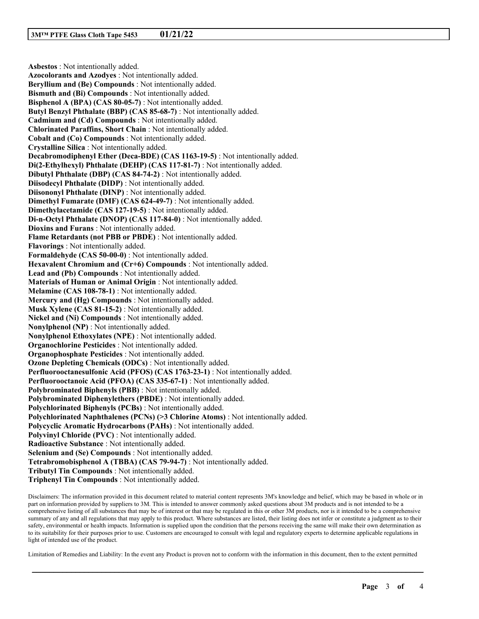**Asbestos** : Not intentionally added. **Azocolorants and Azodyes** : Not intentionally added. **Beryllium and (Be) Compounds** : Not intentionally added. **Bismuth and (Bi) Compounds** : Not intentionally added. **Bisphenol A (BPA) (CAS 80-05-7)** : Not intentionally added. **Butyl Benzyl Phthalate (BBP) (CAS 85-68-7)** : Not intentionally added. **Cadmium and (Cd) Compounds** : Not intentionally added. **Chlorinated Paraffins, Short Chain** : Not intentionally added. **Cobalt and (Co) Compounds** : Not intentionally added. **Crystalline Silica** : Not intentionally added. **Decabromodiphenyl Ether (Deca-BDE) (CAS 1163-19-5)** : Not intentionally added. **Di(2-Ethylhexyl) Phthalate (DEHP) (CAS 117-81-7)** : Not intentionally added. **Dibutyl Phthalate (DBP) (CAS 84-74-2)** : Not intentionally added. **Diisodecyl Phthalate (DIDP)** : Not intentionally added. **Diisononyl Phthalate (DINP)** : Not intentionally added. **Dimethyl Fumarate (DMF) (CAS 624-49-7)** : Not intentionally added. **Dimethylacetamide (CAS 127-19-5)** : Not intentionally added. **Di-n-Octyl Phthalate (DNOP) (CAS 117-84-0)** : Not intentionally added. **Dioxins and Furans** : Not intentionally added. **Flame Retardants (not PBB or PBDE)** : Not intentionally added. **Flavorings** : Not intentionally added. **Formaldehyde (CAS 50-00-0)** : Not intentionally added. **Hexavalent Chromium and (Cr+6) Compounds** : Not intentionally added. **Lead and (Pb) Compounds** : Not intentionally added. **Materials of Human or Animal Origin** : Not intentionally added. **Melamine (CAS 108-78-1)** : Not intentionally added. **Mercury and (Hg) Compounds** : Not intentionally added. **Musk Xylene (CAS 81-15-2)** : Not intentionally added. **Nickel and (Ni) Compounds** : Not intentionally added. **Nonylphenol (NP)** : Not intentionally added. **Nonylphenol Ethoxylates (NPE)** : Not intentionally added. **Organochlorine Pesticides** : Not intentionally added. **Organophosphate Pesticides** : Not intentionally added. **Ozone Depleting Chemicals (ODCs)** : Not intentionally added. **Perfluorooctanesulfonic Acid (PFOS) (CAS 1763-23-1)** : Not intentionally added. **Perfluorooctanoic Acid (PFOA) (CAS 335-67-1)** : Not intentionally added. **Polybrominated Biphenyls (PBB)** : Not intentionally added. **Polybrominated Diphenylethers (PBDE)** : Not intentionally added. **Polychlorinated Biphenyls (PCBs)** : Not intentionally added. **Polychlorinated Naphthalenes (PCNs) (>3 Chlorine Atoms)** : Not intentionally added. **Polycyclic Aromatic Hydrocarbons (PAHs)** : Not intentionally added. **Polyvinyl Chloride (PVC)** : Not intentionally added. **Radioactive Substance** : Not intentionally added. **Selenium and (Se) Compounds** : Not intentionally added. **Tetrabromobisphenol A (TBBA) (CAS 79-94-7)** : Not intentionally added. **Tributyl Tin Compounds** : Not intentionally added. **Triphenyl Tin Compounds** : Not intentionally added.

Disclaimers: The information provided in this document related to material content represents 3M's knowledge and belief, which may be based in whole or in part on information provided by suppliers to 3M. This is intended to answer commonly asked questions about 3M products and is not intended to be a comprehensive listing of all substances that may be of interest or that may be regulated in this or other 3M products, nor is it intended to be a comprehensive summary of any and all regulations that may apply to this product. Where substances are listed, their listing does not infer or constitute a judgment as to their safety, environmental or health impacts. Information is supplied upon the condition that the persons receiving the same will make their own determination as to its suitability for their purposes prior to use. Customers are encouraged to consult with legal and regulatory experts to determine applicable regulations in light of intended use of the product.

Limitation of Remedies and Liability: In the event any Product is proven not to conform with the information in this document, then to the extent permitted

\_\_\_\_\_\_\_\_\_\_\_\_\_\_\_\_\_\_\_\_\_\_\_\_\_\_\_\_\_\_\_\_\_\_\_\_\_\_\_\_\_\_\_\_\_\_\_\_\_\_\_\_\_\_\_\_\_\_\_\_\_\_\_\_\_\_\_\_\_\_\_\_\_\_\_\_\_\_\_\_\_\_\_\_\_\_\_\_\_\_